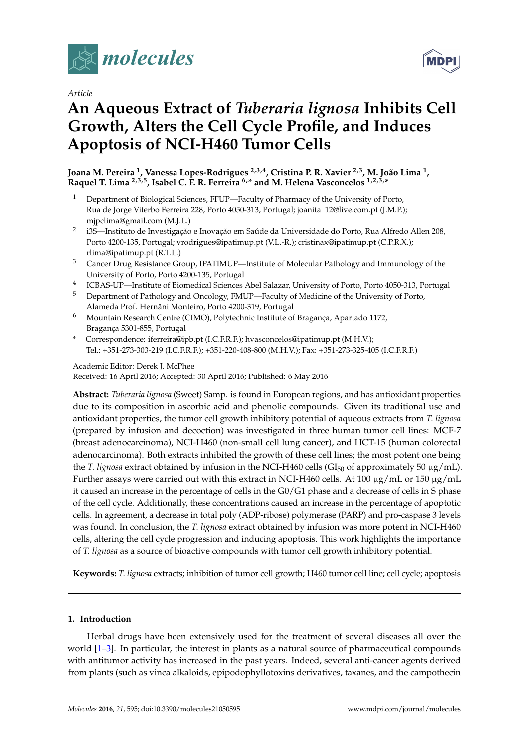

*Article*

# **An Aqueous Extract of** *Tuberaria lignosa* **Inhibits Cell Growth, Alters the Cell Cycle Profile, and Induces Apoptosis of NCI-H460 Tumor Cells**

#### **Joana M. Pereira <sup>1</sup> , Vanessa Lopes-Rodrigues 2,3,4, Cristina P. R. Xavier 2,3, M. João Lima <sup>1</sup> , Raquel T. Lima 2,3,5, Isabel C. F. R. Ferreira 6,\* and M. Helena Vasconcelos 1,2,3,\***

- <sup>1</sup> Department of Biological Sciences, FFUP—Faculty of Pharmacy of the University of Porto, Rua de Jorge Viterbo Ferreira 228, Porto 4050-313, Portugal; joanita\_12@live.com.pt (J.M.P.); mjpclima@gmail.com (M.J.L.)
- 2 i3S—Instituto de Investigação e Inovação em Saúde da Universidade do Porto, Rua Alfredo Allen 208, Porto 4200-135, Portugal; vrodrigues@ipatimup.pt (V.L.-R.); cristinax@ipatimup.pt (C.P.R.X.); rlima@ipatimup.pt (R.T.L.)
- <sup>3</sup> Cancer Drug Resistance Group, IPATIMUP—Institute of Molecular Pathology and Immunology of the University of Porto, Porto 4200-135, Portugal
- 4 ICBAS-UP—Institute of Biomedical Sciences Abel Salazar, University of Porto, Porto 4050-313, Portugal
- <sup>5</sup> Department of Pathology and Oncology, FMUP—Faculty of Medicine of the University of Porto, Alameda Prof. Hernâni Monteiro, Porto 4200-319, Portugal
- <sup>6</sup> Mountain Research Centre (CIMO), Polytechnic Institute of Bragança, Apartado 1172, Bragança 5301-855, Portugal
- **\*** Correspondence: iferreira@ipb.pt (I.C.F.R.F.); hvasconcelos@ipatimup.pt (M.H.V.); Tel.: +351-273-303-219 (I.C.F.R.F.); +351-220-408-800 (M.H.V.); Fax: +351-273-325-405 (I.C.F.R.F.)

#### Academic Editor: Derek J. McPhee Received: 16 April 2016; Accepted: 30 April 2016; Published: 6 May 2016

**Abstract:** *Tuberaria lignosa* (Sweet) Samp. is found in European regions, and has antioxidant properties due to its composition in ascorbic acid and phenolic compounds. Given its traditional use and antioxidant properties, the tumor cell growth inhibitory potential of aqueous extracts from *T. lignosa* (prepared by infusion and decoction) was investigated in three human tumor cell lines: MCF-7 (breast adenocarcinoma), NCI-H460 (non-small cell lung cancer), and HCT-15 (human colorectal adenocarcinoma). Both extracts inhibited the growth of these cell lines; the most potent one being the *T. lignosa* extract obtained by infusion in the NCI-H460 cells (GI<sub>50</sub> of approximately 50  $\mu$ g/mL). Further assays were carried out with this extract in NCI-H460 cells. At 100  $\mu$ g/mL or 150  $\mu$ g/mL it caused an increase in the percentage of cells in the G0/G1 phase and a decrease of cells in S phase of the cell cycle. Additionally, these concentrations caused an increase in the percentage of apoptotic cells. In agreement, a decrease in total poly (ADP-ribose) polymerase (PARP) and pro-caspase 3 levels was found. In conclusion, the *T. lignosa* extract obtained by infusion was more potent in NCI-H460 cells, altering the cell cycle progression and inducing apoptosis. This work highlights the importance of *T. lignosa* as a source of bioactive compounds with tumor cell growth inhibitory potential.

**Keywords:** *T. lignosa* extracts; inhibition of tumor cell growth; H460 tumor cell line; cell cycle; apoptosis

#### **1. Introduction**

Herbal drugs have been extensively used for the treatment of several diseases all over the world [\[1–](#page-6-0)[3\]](#page-6-1). In particular, the interest in plants as a natural source of pharmaceutical compounds with antitumor activity has increased in the past years. Indeed, several anti-cancer agents derived from plants (such as vinca alkaloids, epipodophyllotoxins derivatives, taxanes, and the campothecin

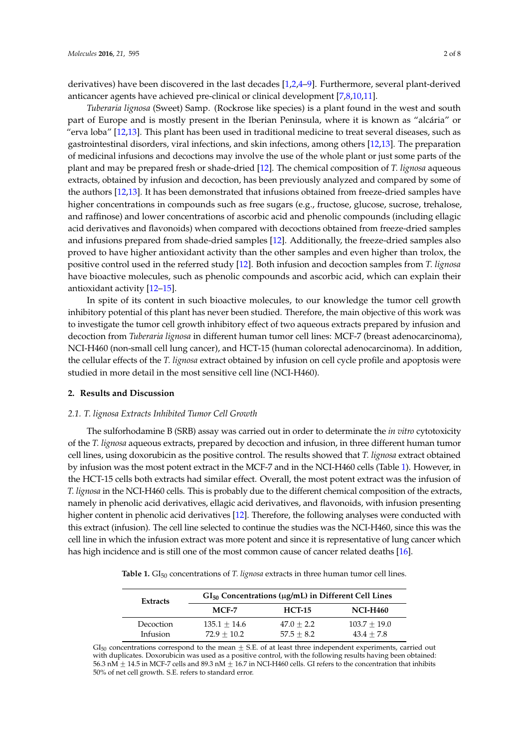derivatives) have been discovered in the last decades [\[1](#page-6-0)[,2](#page-6-2)[,4–](#page-6-3)[9\]](#page-6-4). Furthermore, several plant-derived anticancer agents have achieved pre-clinical or clinical development [\[7](#page-6-5)[,8](#page-6-6)[,10](#page-6-7)[,11\]](#page-6-8).

*Tuberaria lignosa* (Sweet) Samp. (Rockrose like species) is a plant found in the west and south part of Europe and is mostly present in the Iberian Peninsula, where it is known as "alcária" or "erva loba" [\[12,](#page-6-9)[13\]](#page-6-10). This plant has been used in traditional medicine to treat several diseases, such as gastrointestinal disorders, viral infections, and skin infections, among others [\[12](#page-6-9)[,13\]](#page-6-10). The preparation of medicinal infusions and decoctions may involve the use of the whole plant or just some parts of the plant and may be prepared fresh or shade-dried [\[12\]](#page-6-9). The chemical composition of *T. lignosa* aqueous extracts, obtained by infusion and decoction, has been previously analyzed and compared by some of the authors [\[12](#page-6-9)[,13\]](#page-6-10). It has been demonstrated that infusions obtained from freeze-dried samples have higher concentrations in compounds such as free sugars (e.g., fructose, glucose, sucrose, trehalose, and raffinose) and lower concentrations of ascorbic acid and phenolic compounds (including ellagic acid derivatives and flavonoids) when compared with decoctions obtained from freeze-dried samples and infusions prepared from shade-dried samples [\[12\]](#page-6-9). Additionally, the freeze-dried samples also proved to have higher antioxidant activity than the other samples and even higher than trolox, the positive control used in the referred study [\[12\]](#page-6-9). Both infusion and decoction samples from *T. lignosa* have bioactive molecules, such as phenolic compounds and ascorbic acid, which can explain their antioxidant activity [\[12](#page-6-9)[–15\]](#page-6-11).

In spite of its content in such bioactive molecules, to our knowledge the tumor cell growth inhibitory potential of this plant has never been studied. Therefore, the main objective of this work was to investigate the tumor cell growth inhibitory effect of two aqueous extracts prepared by infusion and decoction from *Tuberaria lignosa* in different human tumor cell lines: MCF-7 (breast adenocarcinoma), NCI-H460 (non-small cell lung cancer), and HCT-15 (human colorectal adenocarcinoma). In addition, the cellular effects of the *T. lignosa* extract obtained by infusion on cell cycle profile and apoptosis were studied in more detail in the most sensitive cell line (NCI-H460).

#### **2. Results and Discussion**

#### *2.1. T. lignosa Extracts Inhibited Tumor Cell Growth*

The sulforhodamine B (SRB) assay was carried out in order to determinate the *in vitro* cytotoxicity of the *T. lignosa* aqueous extracts, prepared by decoction and infusion, in three different human tumor cell lines, using doxorubicin as the positive control. The results showed that *T. lignosa* extract obtained by infusion was the most potent extract in the MCF-7 and in the NCI-H460 cells (Table [1\)](#page-1-0). However, in the HCT-15 cells both extracts had similar effect. Overall, the most potent extract was the infusion of *T. lignosa* in the NCI-H460 cells. This is probably due to the different chemical composition of the extracts, namely in phenolic acid derivatives, ellagic acid derivatives, and flavonoids, with infusion presenting higher content in phenolic acid derivatives [\[12\]](#page-6-9). Therefore, the following analyses were conducted with this extract (infusion). The cell line selected to continue the studies was the NCI-H460, since this was the cell line in which the infusion extract was more potent and since it is representative of lung cancer which has high incidence and is still one of the most common cause of cancer related deaths [\[16\]](#page-6-12).

<span id="page-1-0"></span>**Table 1.** GI<sub>50</sub> concentrations of *T. lignosa* extracts in three human tumor cell lines.

| <b>Extracts</b>       | $GI_{50}$ Concentrations ( $\mu$ g/mL) in Different Cell Lines |                              |                                |
|-----------------------|----------------------------------------------------------------|------------------------------|--------------------------------|
|                       | $MCF-7$                                                        | <b>HCT-15</b>                | <b>NCI-H460</b>                |
| Decoction<br>Infusion | $135.1 + 14.6$<br>$72.9 + 10.2$                                | $47.0 + 2.2$<br>$57.5 + 8.2$ | $103.7 + 19.0$<br>$43.4 + 7.8$ |

 $GI<sub>50</sub>$  concentrations correspond to the mean  $\pm$  S.E. of at least three independent experiments, carried out with duplicates. Doxorubicin was used as a positive control, with the following results having been obtained: 56.3 nM  $\pm$  14.5 in MCF-7 cells and 89.3 nM  $\pm$  16.7 in NCI-H460 cells. GI refers to the concentration that inhibits 50% of net cell growth. S.E. refers to standard error.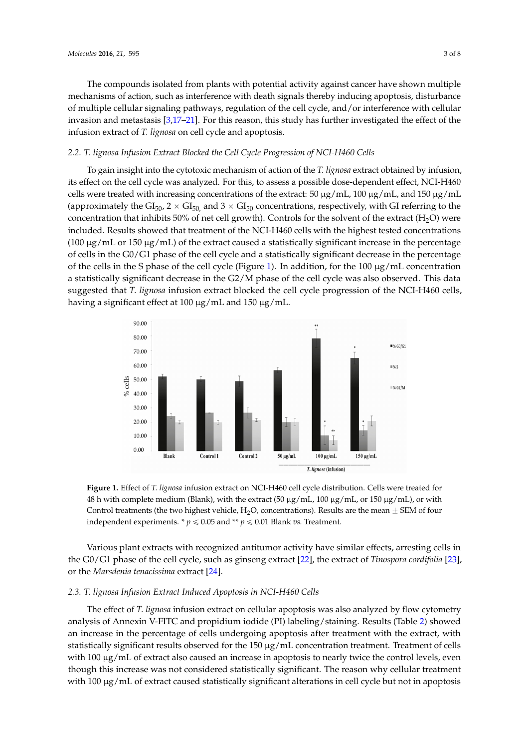The compounds isolated from plants with potential activity against cancer have shown multiple *Molecules* **2016**, *21*, 595 3 of 8 mechanisms of action, such as interference with death signals thereby inducing apoptosis, disturbance of multiple cellular signaling pathways, regulation of the cell cycle, and/or interference with cellular invasion and metastasis [ $3,17-21$  $3,17-21$  $3,17-21$ ]. For this reason, this study has further investigated the effect of the infusion extract of *T. lignosa* on cell cycle and apoptosis.  $\sum_{i=1}^n$  in this state  $\sum_{i=1}^n$ . For this study has further in  $\sum_{i=1}^n$  the effect of the effect of the effect of the effect of the effect of the effect of the effect of the effect of the effect of the effect of

### 2.2. T. lignosa Infusion Extract Blocked the Cell Cycle Progression of NCI-H460 Cells

To gain insight into the cytotoxic mechanism of action of the *T. lignosa* extract obtained by infusion, its effect on the cell cycle was analyzed. For this, to assess a possible dose-dependent effect, NCI-H460  $\,$ cells were treated with increasing concentrations of the extract:  $50 \ \mu\text{g/mL}$ ,  $100 \ \mu\text{g/mL}$ , and  $150 \ \mu\text{g/mL}$ (approximately the GI<sub>50</sub>, 2  $\times$  GI<sub>50,</sub> and 3  $\times$  GI<sub>50</sub> concentrations, respectively, with GI referring to the concentration that inhibits 50% of net cell growth). Controls for the solvent of the extract (H<sub>2</sub>O) were included. Results showed that treatment of the NCI-H460 cells with the highest tested concentrations (100  $\mu$ g/mL or 150  $\mu$ g/mL) of the extract caused a statistically significant increase in the percentage of cells in the G0/G1 phase of the cell cycle and a statistically significant decrease in the percentage of the cells in the S phase of the cell cycle (Figure [1\)](#page-2-0). In addition, for the 100  $\mu$ g/mL concentration a statistically significant decrease in the  $\operatorname{G2}/\operatorname{M}$  phase of the cell cycle was also observed. This data suggested that *T. lignosa* infusion extract blocked the cell cycle progression of the NCI-H460 cells, having a significant effect at 100 μg/mL and 150 μg/mL.  $t_{\text{min}}$  in the S phase of the cell cycle  $(r)$  gale 1). In addition, for the 100  $\mu$ g/mL concentration assumes

<span id="page-2-0"></span>

Figure 1. Effect of T. lignosa infusion extract on NCI-H460 cell cycle distribution. Cells were treated for  $48$  h with complete medium (Blank), with the extract (50 μg/mL, 100 μg/mL, or 150 μg/mL), or with Control treatments (the two highest vehicle, H<sub>2</sub>O, concentrations). Results are the mean  $\pm$  SEM of four independent experiments.  $p \leq 0.05$  and  $* p \leq 0.01$  Blank *vs*. Treatment.

Various plant extracts with recognized antitumor activity have similar effects, arresting cells in Various plant extracts with recognized antitumor activity have similar effects, arresting cells in the G0/G1 phase of the cell cycle, such as ginseng extract [\[22\]](#page-7-0), the extract of *Tinospora cordifolia* [\[23\]](#page-7-1), or the *Marsdenia tenacissima* extract [\[24\]](#page-7-2).

## 2.3. T. lignosa Infusion Extract Induced Apoptosis in NCI-H460 Cells

The effect of *T. lignosa* infusion extract on cellular apoptosis was also analyzed by flow cytometry analysis of Annexin V-FITC and propidium iodide (PI) labeling/staining. Results (Table [2\)](#page-3-0) showed an increase in the percentage of cells undergoing apoptosis after treatment with the extract, with statistically significant results observed for the 150  $\mu$ g/mL concentration treatment. Treatment of cells  $t_{\rm{max}}$  the reason term increase was not considered statistically significant. The reason why cellular treatment  $t_{\rm{max}}$ with 100 μg/mL of extract also caused an increase in apoptosis to nearly twice the control levels, even though this increase was not considered statistically significant. The reason why cellular treatment with 100 µg/mL of extract caused statistically significant alterations in cell cycle but not in apoptosis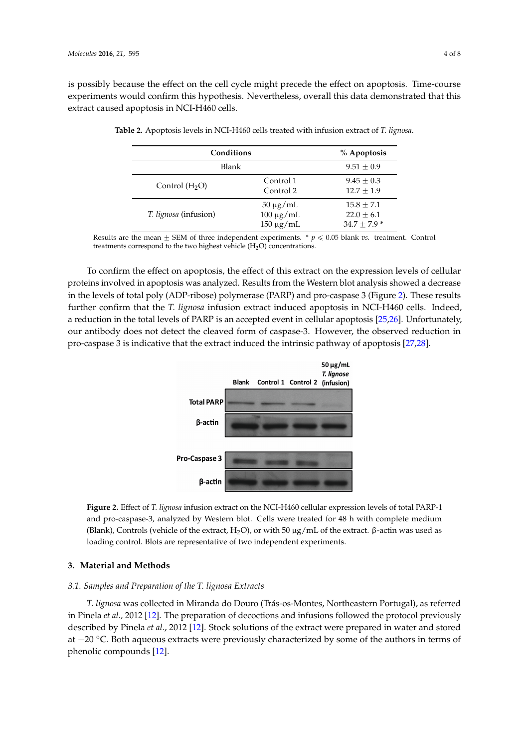is possibly because the effect on the cell cycle might precede the effect on apoptosis. Time-course is possibly because the effect on the cell cycle might precede the effect on apoptosis. Time-course experiments would confirm this hypothesis. Nevertheless, overall this data demonstrated that this experiments would confirm this hypothesis. Nevertheless, overall this data demonstrated that this extract caused apoptosis in NCI-H460 cells. extract caused apoptosis in NCI-H460 cells.

| Conditions                   |                                                   | % Apoptosis                                   |
|------------------------------|---------------------------------------------------|-----------------------------------------------|
| Blank                        |                                                   | $9.51 + 0.9$                                  |
| Control $(H2O)$              | Control 1<br>Control 2                            | $9.45 + 0.3$<br>$12.7 + 1.9$                  |
| <i>T. lignosa</i> (infusion) | $50 \mu g/mL$<br>$100 \mu g/mL$<br>$150 \mu g/mL$ | $15.8 + 7.1$<br>$22.0 + 6.1$<br>$34.7 + 7.9*$ |

<span id="page-3-0"></span>**Table 2.** Apoptosis levels in NCI-H460 cells treated with infusion extract of *T. lignosa*. **Table 2.** Apoptosis levels in NCI-H460 cells treated with infusion extract of *T. lignosa*.

Results are the mean  $\pm$  SEM of three independent experiments.  $* p \le 0.05$  blank vs. treatment. Control treatments correspond to the two highest vehicle  $(H_2O)$  concentrations.

<span id="page-3-1"></span>To confirm the effect on apoptosis, the effect of this extract on the expression levels of cellular To confirm the effect on apoptosis, the effect of this extract on the expression levels of cellular proteins involved in apoptosis was analyzed. Results from the Western blot analysis showed a decrease proteins involved in apoptosis was analyzed. Results from the Western blot analysis showed a in the levels of total poly (ADP-ribose) polymerase (PARP) and pro-caspas[e 3](#page-3-1) (Figure 2). These results further confirm that the *T. lignosa* infusion extract induced apoptosis in NCI-H460 cells. Indeed, a reduction in the total levels of PARP is an accepted event in cellular apoptosis [\[25,](#page-7-3)[26\]](#page-7-4). Unfortunately, our antibody does not detect the cleaved form of caspase-3. However, the observed reduction in pro-caspase 3 is indicative that the extract induced the intrinsic pathway of apoptosis [\[27,](#page-7-5)[28\]](#page-7-6).



Figure 2. Effect of T. lignosa infusion extract on the NCI-H460 cellular expression levels of total PARP-1 and pro-caspase-3, analyzed by Western blot. Cells were treated for 48 h with complete medium (Blank), Controls (vehicle of the extract, H<sub>2</sub>O), or with 50 μg/mL of the extract. β-actin was used as loading control. Blots are representative of two independent experiments.

#### **3. Material and Methods**

#### *3.1. Samples and Preparation of the T. lignosa Extracts*

*3.1. Samples and Preparation of the T. lignosa Extracts T. lignosa* was collected in Miranda do Douro (Trás-os-Montes, Northeastern Portugal), as referred in Pinela *et al.,* 2012 [12]. The preparation of decoctions and infusions followed the protocol previously described by Pinela *et al.*, 2012 [12]. Stock solutions of the extract were prepared in water and stored at  $-20$  °C. Both aqueous extracts were previously characterized by some of the authors in terms of phenolic compounds [12]. **Both and authors in the authors in terms of the authors in terms of the authors in terms of the authors in terms of the authors in terms of the authors in terms of the authors in terms of the auth**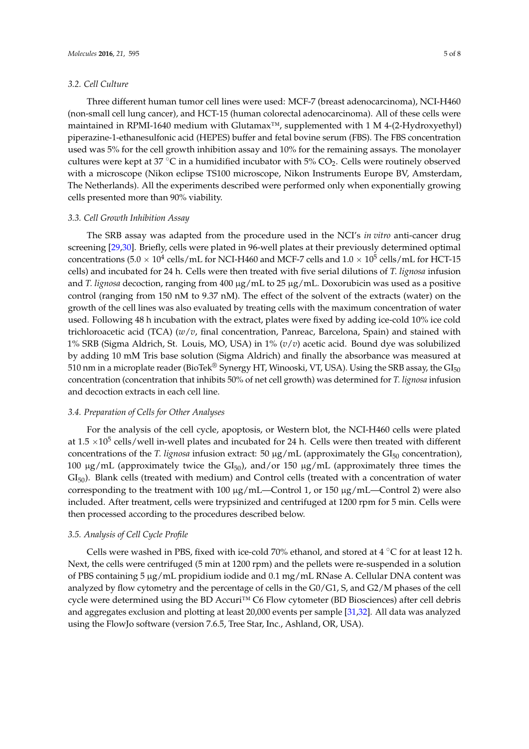#### *3.2. Cell Culture*

Three different human tumor cell lines were used: MCF-7 (breast adenocarcinoma), NCI-H460 (non-small cell lung cancer), and HCT-15 (human colorectal adenocarcinoma). All of these cells were maintained in RPMI-1640 medium with Glutamax<sup>™</sup>, supplemented with 1 M 4-(2-Hydroxyethyl) piperazine-1-ethanesulfonic acid (HEPES) buffer and fetal bovine serum (FBS). The FBS concentration used was 5% for the cell growth inhibition assay and 10% for the remaining assays. The monolayer cultures were kept at 37 °C in a humidified incubator with 5%  $CO<sub>2</sub>$ . Cells were routinely observed with a microscope (Nikon eclipse TS100 microscope, Nikon Instruments Europe BV, Amsterdam, The Netherlands). All the experiments described were performed only when exponentially growing cells presented more than 90% viability.

#### *3.3. Cell Growth Inhibition Assay*

The SRB assay was adapted from the procedure used in the NCI's *in vitro* anti-cancer drug screening [\[29,](#page-7-7)[30\]](#page-7-8). Briefly, cells were plated in 96-well plates at their previously determined optimal concentrations ( $5.0 \times 10^4$  cells/mL for NCI-H460 and MCF-7 cells and  $1.0 \times 10^5$  cells/mL for HCT-15 cells) and incubated for 24 h. Cells were then treated with five serial dilutions of *T. lignosa* infusion and *T. lignosa* decoction, ranging from 400 µg/mL to 25 µg/mL. Doxorubicin was used as a positive control (ranging from 150 nM to 9.37 nM). The effect of the solvent of the extracts (water) on the growth of the cell lines was also evaluated by treating cells with the maximum concentration of water used. Following 48 h incubation with the extract, plates were fixed by adding ice-cold 10% ice cold trichloroacetic acid (TCA) (*w*/*v*, final concentration, Panreac, Barcelona, Spain) and stained with 1% SRB (Sigma Aldrich, St. Louis, MO, USA) in 1% (*v*/*v*) acetic acid. Bound dye was solubilized by adding 10 mM Tris base solution (Sigma Aldrich) and finally the absorbance was measured at 510 nm in a microplate reader (BioTek® Synergy HT, Winooski, VT, USA). Using the SRB assay, the  $GI_{50}$ concentration (concentration that inhibits 50% of net cell growth) was determined for *T. lignosa* infusion and decoction extracts in each cell line.

#### *3.4. Preparation of Cells for Other Analyses*

For the analysis of the cell cycle, apoptosis, or Western blot, the NCI-H460 cells were plated at 1.5  $\times10^5$  cells/well in-well plates and incubated for 24 h. Cells were then treated with different concentrations of the *T. lignosa* infusion extract: 50  $\mu$ g/mL (approximately the GI<sub>50</sub> concentration), 100  $\mu$ g/mL (approximately twice the GI<sub>50</sub>), and/or 150  $\mu$ g/mL (approximately three times the  $GI<sub>50</sub>$ ). Blank cells (treated with medium) and Control cells (treated with a concentration of water corresponding to the treatment with 100 µg/mL—Control 1, or 150 µg/mL—Control 2) were also included. After treatment, cells were trypsinized and centrifuged at 1200 rpm for 5 min. Cells were then processed according to the procedures described below.

#### *3.5. Analysis of Cell Cycle Profile*

Cells were washed in PBS, fixed with ice-cold 70% ethanol, and stored at 4  $\degree$ C for at least 12 h. Next, the cells were centrifuged (5 min at 1200 rpm) and the pellets were re-suspended in a solution of PBS containing 5 µg/mL propidium iodide and 0.1 mg/mL RNase A. Cellular DNA content was analyzed by flow cytometry and the percentage of cells in the G0/G1, S, and G2/M phases of the cell cycle were determined using the BD Accuri™ C6 Flow cytometer (BD Biosciences) after cell debris and aggregates exclusion and plotting at least 20,000 events per sample [\[31](#page-7-9)[,32\]](#page-7-10). All data was analyzed using the FlowJo software (version 7.6.5, Tree Star, Inc., Ashland, OR, USA).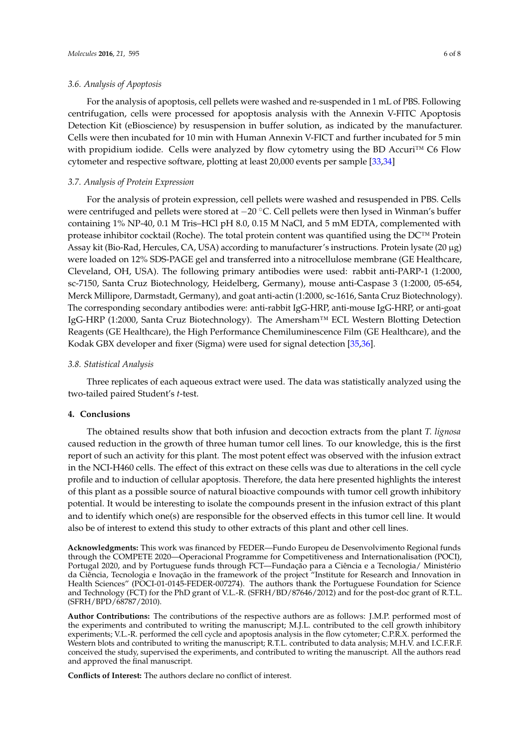For the analysis of apoptosis, cell pellets were washed and re-suspended in 1 mL of PBS. Following centrifugation, cells were processed for apoptosis analysis with the Annexin V-FITC Apoptosis Detection Kit (eBioscience) by resuspension in buffer solution, as indicated by the manufacturer. Cells were then incubated for 10 min with Human Annexin V-FICT and further incubated for 5 min with propidium iodide. Cells were analyzed by flow cytometry using the BD Accuri™ C6 Flow cytometer and respective software, plotting at least 20,000 events per sample [\[33](#page-7-11)[,34\]](#page-7-12)

#### *3.7. Analysis of Protein Expression*

For the analysis of protein expression, cell pellets were washed and resuspended in PBS. Cells were centrifuged and pellets were stored at  $-20$  °C. Cell pellets were then lysed in Winman's buffer containing 1% NP-40, 0.1 M Tris–HCl pH 8.0, 0.15 M NaCl, and 5 mM EDTA, complemented with protease inhibitor cocktail (Roche). The total protein content was quantified using the DC™ Protein Assay kit (Bio-Rad, Hercules, CA, USA) according to manufacturer's instructions. Protein lysate (20 µg) were loaded on 12% SDS-PAGE gel and transferred into a nitrocellulose membrane (GE Healthcare, Cleveland, OH, USA). The following primary antibodies were used: rabbit anti-PARP-1 (1:2000, sc-7150, Santa Cruz Biotechnology, Heidelberg, Germany), mouse anti-Caspase 3 (1:2000, 05-654, Merck Millipore, Darmstadt, Germany), and goat anti-actin (1:2000, sc-1616, Santa Cruz Biotechnology). The corresponding secondary antibodies were: anti-rabbit IgG-HRP, anti-mouse IgG-HRP, or anti-goat IgG-HRP (1:2000, Santa Cruz Biotechnology). The Amersham™ ECL Western Blotting Detection Reagents (GE Healthcare), the High Performance Chemiluminescence Film (GE Healthcare), and the Kodak GBX developer and fixer (Sigma) were used for signal detection [\[35](#page-7-13)[,36\]](#page-7-14).

#### *3.8. Statistical Analysis*

Three replicates of each aqueous extract were used. The data was statistically analyzed using the two-tailed paired Student's *t*-test.

#### **4. Conclusions**

The obtained results show that both infusion and decoction extracts from the plant *T. lignosa* caused reduction in the growth of three human tumor cell lines. To our knowledge, this is the first report of such an activity for this plant. The most potent effect was observed with the infusion extract in the NCI-H460 cells. The effect of this extract on these cells was due to alterations in the cell cycle profile and to induction of cellular apoptosis. Therefore, the data here presented highlights the interest of this plant as a possible source of natural bioactive compounds with tumor cell growth inhibitory potential. It would be interesting to isolate the compounds present in the infusion extract of this plant and to identify which one(s) are responsible for the observed effects in this tumor cell line. It would also be of interest to extend this study to other extracts of this plant and other cell lines.

**Acknowledgments:** This work was financed by FEDER—Fundo Europeu de Desenvolvimento Regional funds through the COMPETE 2020—Operacional Programme for Competitiveness and Internationalisation (POCI), Portugal 2020, and by Portuguese funds through FCT—Fundação para a Ciência e a Tecnologia/ Ministério da Ciência, Tecnologia e Inovação in the framework of the project "Institute for Research and Innovation in Health Sciences" (POCI-01-0145-FEDER-007274). The authors thank the Portuguese Foundation for Science and Technology (FCT) for the PhD grant of V.L.-R. (SFRH/BD/87646/2012) and for the post-doc grant of R.T.L. (SFRH/BPD/68787/2010).

**Author Contributions:** The contributions of the respective authors are as follows: J.M.P. performed most of the experiments and contributed to writing the manuscript; M.J.L. contributed to the cell growth inhibitory experiments; V.L.-R. performed the cell cycle and apoptosis analysis in the flow cytometer; C.P.R.X. performed the Western blots and contributed to writing the manuscript; R.T.L. contributed to data analysis; M.H.V. and I.C.F.R.F. conceived the study, supervised the experiments, and contributed to writing the manuscript. All the authors read and approved the final manuscript.

**Conflicts of Interest:** The authors declare no conflict of interest.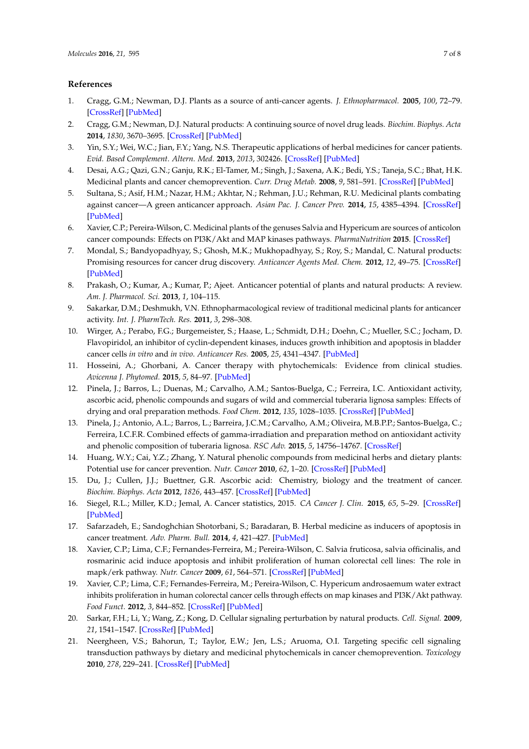#### **References**

- <span id="page-6-0"></span>1. Cragg, G.M.; Newman, D.J. Plants as a source of anti-cancer agents. *J. Ethnopharmacol.* **2005**, *100*, 72–79. [\[CrossRef\]](http://dx.doi.org/10.1016/j.jep.2005.05.011) [\[PubMed\]](http://www.ncbi.nlm.nih.gov/pubmed/16009521)
- <span id="page-6-2"></span>2. Cragg, G.M.; Newman, D.J. Natural products: A continuing source of novel drug leads. *Biochim. Biophys. Acta* **2014**, *1830*, 3670–3695. [\[CrossRef\]](http://dx.doi.org/10.1016/j.bbagen.2013.02.008) [\[PubMed\]](http://www.ncbi.nlm.nih.gov/pubmed/23428572)
- <span id="page-6-1"></span>3. Yin, S.Y.; Wei, W.C.; Jian, F.Y.; Yang, N.S. Therapeutic applications of herbal medicines for cancer patients. *Evid. Based Complement. Altern. Med.* **2013**, *2013*, 302426. [\[CrossRef\]](http://dx.doi.org/10.1155/2013/302426) [\[PubMed\]](http://www.ncbi.nlm.nih.gov/pubmed/23956768)
- <span id="page-6-3"></span>4. Desai, A.G.; Qazi, G.N.; Ganju, R.K.; El-Tamer, M.; Singh, J.; Saxena, A.K.; Bedi, Y.S.; Taneja, S.C.; Bhat, H.K. Medicinal plants and cancer chemoprevention. *Curr. Drug Metab.* **2008**, *9*, 581–591. [\[CrossRef\]](http://dx.doi.org/10.2174/138920008785821657) [\[PubMed\]](http://www.ncbi.nlm.nih.gov/pubmed/18781909)
- 5. Sultana, S.; Asif, H.M.; Nazar, H.M.; Akhtar, N.; Rehman, J.U.; Rehman, R.U. Medicinal plants combating against cancer—A green anticancer approach. *Asian Pac. J. Cancer Prev.* **2014**, *15*, 4385–4394. [\[CrossRef\]](http://dx.doi.org/10.7314/APJCP.2014.15.11.4385) [\[PubMed\]](http://www.ncbi.nlm.nih.gov/pubmed/24969858)
- 6. Xavier, C.P.; Pereira-Wilson, C. Medicinal plants of the genuses Salvia and Hypericum are sources of anticolon cancer compounds: Effects on PI3K/Akt and MAP kinases pathways. *PharmaNutrition* **2015**. [\[CrossRef\]](http://dx.doi.org/10.1016/j.phanu.2015.11.002)
- <span id="page-6-5"></span>7. Mondal, S.; Bandyopadhyay, S.; Ghosh, M.K.; Mukhopadhyay, S.; Roy, S.; Mandal, C. Natural products: Promising resources for cancer drug discovery. *Anticancer Agents Med. Chem.* **2012**, *12*, 49–75. [\[CrossRef\]](http://dx.doi.org/10.2174/187152012798764697) [\[PubMed\]](http://www.ncbi.nlm.nih.gov/pubmed/21707502)
- <span id="page-6-6"></span>8. Prakash, O.; Kumar, A.; Kumar, P.; Ajeet. Anticancer potential of plants and natural products: A review. *Am. J. Pharmacol. Sci.* **2013**, *1*, 104–115.
- <span id="page-6-4"></span>9. Sakarkar, D.M.; Deshmukh, V.N. Ethnopharmacological review of traditional medicinal plants for anticancer activity. *Int. J. PharmTech. Res.* **2011**, *3*, 298–308.
- <span id="page-6-7"></span>10. Wirger, A.; Perabo, F.G.; Burgemeister, S.; Haase, L.; Schmidt, D.H.; Doehn, C.; Mueller, S.C.; Jocham, D. Flavopiridol, an inhibitor of cyclin-dependent kinases, induces growth inhibition and apoptosis in bladder cancer cells *in vitro* and *in vivo*. *Anticancer Res.* **2005**, *25*, 4341–4347. [\[PubMed\]](http://www.ncbi.nlm.nih.gov/pubmed/16309238)
- <span id="page-6-8"></span>11. Hosseini, A.; Ghorbani, A. Cancer therapy with phytochemicals: Evidence from clinical studies. *Avicenna J. Phytomed.* **2015**, *5*, 84–97. [\[PubMed\]](http://www.ncbi.nlm.nih.gov/pubmed/25949949)
- <span id="page-6-9"></span>12. Pinela, J.; Barros, L.; Duenas, M.; Carvalho, A.M.; Santos-Buelga, C.; Ferreira, I.C. Antioxidant activity, ascorbic acid, phenolic compounds and sugars of wild and commercial tuberaria lignosa samples: Effects of drying and oral preparation methods. *Food Chem.* **2012**, *135*, 1028–1035. [\[CrossRef\]](http://dx.doi.org/10.1016/j.foodchem.2012.05.038) [\[PubMed\]](http://www.ncbi.nlm.nih.gov/pubmed/22953820)
- <span id="page-6-10"></span>13. Pinela, J.; Antonio, A.L.; Barros, L.; Barreira, J.C.M.; Carvalho, A.M.; Oliveira, M.B.P.P.; Santos-Buelga, C.; Ferreira, I.C.F.R. Combined effects of gamma-irradiation and preparation method on antioxidant activity and phenolic composition of tuberaria lignosa. *RSC Adv.* **2015**, *5*, 14756–14767. [\[CrossRef\]](http://dx.doi.org/10.1039/C4RA14944K)
- 14. Huang, W.Y.; Cai, Y.Z.; Zhang, Y. Natural phenolic compounds from medicinal herbs and dietary plants: Potential use for cancer prevention. *Nutr. Cancer* **2010**, *62*, 1–20. [\[CrossRef\]](http://dx.doi.org/10.1080/01635580903191585) [\[PubMed\]](http://www.ncbi.nlm.nih.gov/pubmed/20043255)
- <span id="page-6-11"></span>15. Du, J.; Cullen, J.J.; Buettner, G.R. Ascorbic acid: Chemistry, biology and the treatment of cancer. *Biochim. Biophys. Acta* **2012**, *1826*, 443–457. [\[CrossRef\]](http://dx.doi.org/10.1016/j.bbcan.2012.06.003) [\[PubMed\]](http://www.ncbi.nlm.nih.gov/pubmed/22728050)
- <span id="page-6-12"></span>16. Siegel, R.L.; Miller, K.D.; Jemal, A. Cancer statistics, 2015. *CA Cancer J. Clin.* **2015**, *65*, 5–29. [\[CrossRef\]](http://dx.doi.org/10.3322/caac.21254) [\[PubMed\]](http://www.ncbi.nlm.nih.gov/pubmed/25559415)
- <span id="page-6-13"></span>17. Safarzadeh, E.; Sandoghchian Shotorbani, S.; Baradaran, B. Herbal medicine as inducers of apoptosis in cancer treatment. *Adv. Pharm. Bull.* **2014**, *4*, 421–427. [\[PubMed\]](http://www.ncbi.nlm.nih.gov/pubmed/25364657)
- 18. Xavier, C.P.; Lima, C.F.; Fernandes-Ferreira, M.; Pereira-Wilson, C. Salvia fruticosa, salvia officinalis, and rosmarinic acid induce apoptosis and inhibit proliferation of human colorectal cell lines: The role in mapk/erk pathway. *Nutr. Cancer* **2009**, *61*, 564–571. [\[CrossRef\]](http://dx.doi.org/10.1080/01635580802710733) [\[PubMed\]](http://www.ncbi.nlm.nih.gov/pubmed/19838929)
- 19. Xavier, C.P.; Lima, C.F.; Fernandes-Ferreira, M.; Pereira-Wilson, C. Hypericum androsaemum water extract inhibits proliferation in human colorectal cancer cells through effects on map kinases and PI3K/Akt pathway. *Food Funct.* **2012**, *3*, 844–852. [\[CrossRef\]](http://dx.doi.org/10.1039/c2fo10226a) [\[PubMed\]](http://www.ncbi.nlm.nih.gov/pubmed/22596086)
- 20. Sarkar, F.H.; Li, Y.; Wang, Z.; Kong, D. Cellular signaling perturbation by natural products. *Cell. Signal.* **2009**, *21*, 1541–1547. [\[CrossRef\]](http://dx.doi.org/10.1016/j.cellsig.2009.03.009) [\[PubMed\]](http://www.ncbi.nlm.nih.gov/pubmed/19298854)
- <span id="page-6-14"></span>21. Neergheen, V.S.; Bahorun, T.; Taylor, E.W.; Jen, L.S.; Aruoma, O.I. Targeting specific cell signaling transduction pathways by dietary and medicinal phytochemicals in cancer chemoprevention. *Toxicology* **2010**, *278*, 229–241. [\[CrossRef\]](http://dx.doi.org/10.1016/j.tox.2009.10.010) [\[PubMed\]](http://www.ncbi.nlm.nih.gov/pubmed/19850100)